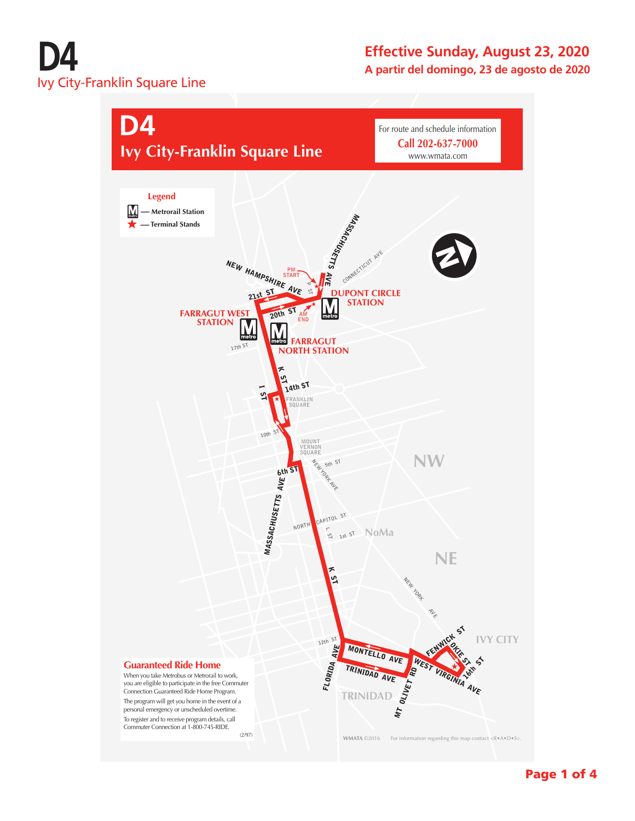# **D4** Ivy City-Franklin Square Line

#### **Effective Sunday, August 23, 2020 A partir del domingo, 23 de agosto de 2020**

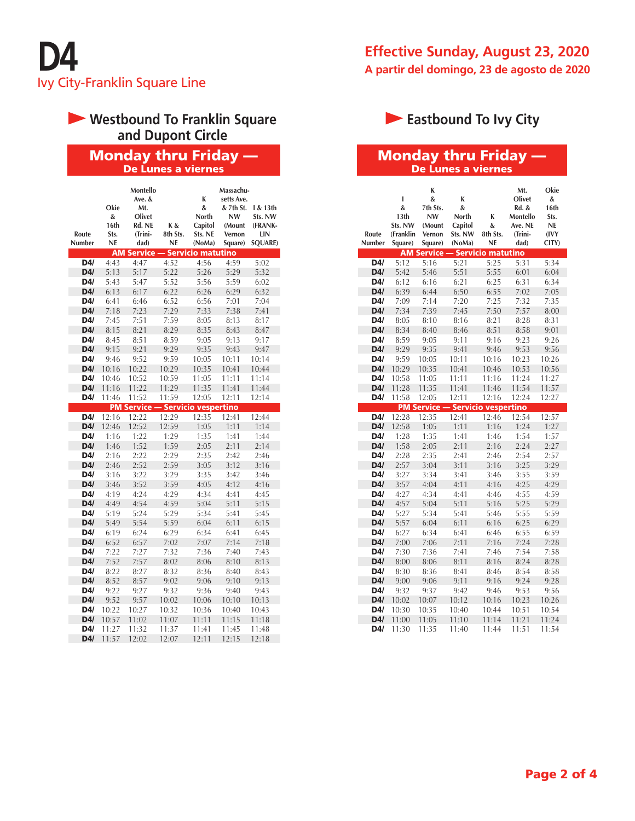## **Westbound To Franklin Square and Dupont Circle**

#### Monday thru Friday — De Lunes a viernes

| Route<br>Number | Okie<br>&<br>16th<br>Sts.<br><b>NE</b> | Montello<br>Ave. &<br>Mt.<br>Olivet<br>Rd. NE<br>(Trini-<br>dad) | K&<br>8th Sts.<br>NE | K<br>&<br>North<br>Capitol<br>Sts. NE<br>(NoMa) | Massachu-<br>setts Ave.<br>& 7th St.<br><b>NW</b><br>(Mount<br>Vernon<br>Square) | l & 13th<br>Sts. NW<br>(FRANK-<br>LIN<br><b>SQUARE)</b> |
|-----------------|----------------------------------------|------------------------------------------------------------------|----------------------|-------------------------------------------------|----------------------------------------------------------------------------------|---------------------------------------------------------|
|                 | AM                                     | <b>Service</b>                                                   |                      | - Servicio matutino                             |                                                                                  |                                                         |
| D4/             | 4:43                                   | 4:47                                                             | 4:52                 | 4:56                                            | 4:59                                                                             | 5:02                                                    |
| D4/             | 5:13                                   | 5:17                                                             | 5:22                 | 5:26                                            | 5:29                                                                             | 5:32                                                    |
| D4/             | 5:43                                   | 5:47                                                             | 5:52                 | 5:56                                            | 5:59                                                                             | 6:02                                                    |
| D4/             | 6:13                                   | 6:17                                                             | 6:22                 | 6:26                                            | 6:29                                                                             | 6:32                                                    |
| D4/             | 6:41                                   | 6:46                                                             | 6:52                 | 6:56                                            | 7:01                                                                             | 7:04                                                    |
| D4/             | 7:18                                   | 7:23                                                             | 7:29                 | 7:33                                            | 7:38                                                                             | 7:41                                                    |
| D4/             | 7:45                                   | 7:51                                                             | 7:59                 | 8:05                                            | 8:13                                                                             | 8:17                                                    |
| D4/             | 8:15                                   | 8:21                                                             | 8:29                 | 8:35                                            | 8:43                                                                             | 8:47                                                    |
| D4/             | 8:45                                   | 8:51                                                             | 8:59                 | 9:05                                            | 9:13                                                                             | 9:17                                                    |
| D4/             | 9:15                                   | 9:21                                                             | 9:29                 | 9:35                                            | 9:43                                                                             | 9:47                                                    |
| D4/             | 9:46                                   | 9:52                                                             | 9:59                 | 10:05                                           | 10:11                                                                            | 10:14                                                   |
| D4/             | 10:16                                  | 10:22                                                            | 10:29                | 10:35                                           | 10:41                                                                            | 10:44                                                   |
| D4/             | 10:46                                  | 10:52                                                            | 10:59                | 11:05                                           | 11:11                                                                            | 11:14                                                   |
| D4/             | 11:16                                  | 11:22                                                            | 11:29                | 11:35                                           | 11:41                                                                            | 11:44                                                   |
| D4/             | 11:46                                  | 11:52                                                            | 11:59                | 12:05                                           | 12:11                                                                            | 12:14                                                   |
|                 |                                        | <b>PM Service</b>                                                |                      | - Servicio vespertino                           |                                                                                  |                                                         |
| D4/             | 12:16                                  | 12:22                                                            | 12:29                | 12:35                                           | 12:41                                                                            | 12:44                                                   |
| D4/             | 12:46                                  | 12:52                                                            | 12:59                | 1:05                                            | 1:11                                                                             | 1:14                                                    |
| D4/             | 1:16                                   | 1:22                                                             | 1:29                 | 1:35                                            | 1:41                                                                             | 1:44                                                    |
| D4/             | 1:46                                   | 1:52                                                             | 1:59                 | 2:05                                            | 2:11                                                                             | 2:14                                                    |
| D4/             | 2:16                                   | 2:22                                                             | 2:29                 | 2:35                                            | 2:42                                                                             | 2:46                                                    |
| D4/             | 2:46                                   | 2:52                                                             | 2:59                 | 3:05                                            | 3:12                                                                             | 3:16                                                    |
| D4/             | 3:16                                   | 3:22                                                             | 3:29                 | 3:35                                            | 3:42                                                                             | 3:46                                                    |
| D4/             | 3:46                                   | 3:52                                                             | 3:59                 | 4:05                                            | 4:12                                                                             | 4:16                                                    |
| D4/             | 4:19                                   | 4:24                                                             | 4:29                 | 4:34                                            | 4:41                                                                             | 4:45                                                    |
| D4/             | 4:49                                   | 4:54                                                             | 4:59                 | 5:04                                            | 5:11                                                                             | 5:15                                                    |
| D4/             | 5:19                                   | 5:24                                                             | 5:29                 | 5:34                                            | 5:41                                                                             | 5:45                                                    |
| D4/             | 5:49                                   | 5:54                                                             | 5:59                 | 6:04                                            | 6:11                                                                             | 6:15                                                    |
| D4/             | 6:19                                   | 6:24                                                             | 6:29                 | 6:34                                            | 6:41                                                                             | 6:45                                                    |
| D4/             | 6:52                                   | 6:57                                                             | 7:02                 | 7:07                                            | 7:14                                                                             | 7:18                                                    |
| D4/             | 7:22                                   | 7:27                                                             | 7:32                 | 7:36                                            | 7:40                                                                             | 7:43                                                    |
| D4/             | 7:52                                   | 7:57                                                             | 8:02                 | 8:06                                            | 8:10                                                                             | 8:13                                                    |
| D4/             | 8:22                                   | 8:27                                                             | 8:32                 | 8:36                                            | 8:40                                                                             | 8:43                                                    |
| D4/             | 8:52                                   | 8:57                                                             | 9:02                 | 9:06                                            | 9:10                                                                             | 9:13                                                    |
| D4/             | 9:22                                   | 9:27                                                             | 9:32                 | 9:36                                            | 9:40                                                                             | 9:43                                                    |
| D4/             | 9:52                                   | 9:57                                                             | 10:02                | 10:06                                           | 10:10                                                                            | 10:13                                                   |
| D4/             | 10:22                                  | 10:27                                                            | 10:32                | 10:36                                           | 10:40                                                                            | 10:43                                                   |
| D4/             | 10:57                                  | 11:02                                                            | 11:07                | 11:11                                           | 11:15                                                                            | 11:18                                                   |
| D4/             | 11:27                                  | 11:32                                                            | 11:37                | 11:41                                           | 11:45                                                                            | 11:48                                                   |
| D4/             | 11:57                                  | 12:02                                                            | 12:07                | 12:11                                           | 12:15                                                                            | 12:18                                                   |

#### **Effective Sunday, August 23, 2020 A partir del domingo, 23 de agosto de 2020**

# **Eastbound To Ivy City**

#### Monday thru Friday — De Lunes a viernes

| Route<br>Number | ı<br>&<br>13 <sup>th</sup><br>Sts. NW<br>(Franklin<br>Square) | K<br>&<br>7th Sts.<br><b>NW</b><br>(Mount<br>Vernon<br>Square) | K<br>&<br>North<br>Capitol<br>Sts. NW<br>(NoMa) | K<br>&<br>8th Sts.<br>NE | Mt.<br>Olivet<br><b>Rd. &amp;</b><br>Montello<br>Ave. NE<br>(Trini-<br>dad) | Okie<br>&<br>16th<br>Sts.<br><b>NE</b><br>(IVY<br>CITY) |
|-----------------|---------------------------------------------------------------|----------------------------------------------------------------|-------------------------------------------------|--------------------------|-----------------------------------------------------------------------------|---------------------------------------------------------|
|                 |                                                               | <b>AM Service -</b>                                            |                                                 | - Servicio matutino      |                                                                             |                                                         |
| D4/             | 5:12                                                          | 5:16                                                           | 5:21                                            | 5:25                     | 5:31                                                                        | 5:34                                                    |
| D4/             | 5:42                                                          | 5:46                                                           | 5:51                                            | 5:55                     | 6:01                                                                        | 6:04                                                    |
| D4/             | 6:12                                                          | 6:16                                                           | 6:21                                            | 6:25                     | 6:31                                                                        | 6:34                                                    |
| D4/             | 6:39                                                          | 6:44                                                           | 6:50                                            | 6:55                     | 7:02                                                                        | 7:05                                                    |
| D4/             | 7:09                                                          | 7:14                                                           | 7:20                                            | 7:25                     | 7:32                                                                        | 7:35                                                    |
| D4/             | 7:34                                                          | 7:39                                                           | 7:45                                            | 7:50                     | 7:57                                                                        | 8:00                                                    |
| D4/             | 8:05                                                          | 8:10                                                           | 8:16                                            | 8:21                     | 8:28                                                                        | 8:31                                                    |
| D4/             | 8:34                                                          | 8:40                                                           | 8:46                                            | 8:51                     | 8:58                                                                        | 9:01                                                    |
| D4/             | 8:59                                                          | 9:05                                                           | 9:11                                            | 9:16                     | 9:23                                                                        | 9:26                                                    |
| D4/             | 9:29                                                          | 9:35                                                           | 9:41                                            | 9:46                     | 9:53                                                                        | 9:56                                                    |
| D4/             | 9:59                                                          | 10:05                                                          | 10:11                                           | 10:16                    | 10:23                                                                       | 10:26                                                   |
| D4/             | 10:29                                                         | 10:35                                                          | 10:41                                           | 10:46                    | 10:53                                                                       | 10:56                                                   |
| D4/             | 10:58                                                         | 11:05                                                          | 11:11                                           | 11:16                    | 11:24                                                                       | 11:27                                                   |
| D4/             | 11:28                                                         | 11:35                                                          | 11:41                                           | 11:46                    | 11:54                                                                       | 11:57                                                   |
| D4/             | 11:58                                                         | 12:05                                                          | 12:11                                           | 12:16                    | 12:24                                                                       | 12:27                                                   |
|                 |                                                               | <b>PM Service</b>                                              | <b>Servicio vespertino</b>                      |                          |                                                                             |                                                         |
| D4/             | 12:28                                                         | 12:35                                                          | 12:41                                           | 12:46                    | 12:54                                                                       | 12:57                                                   |
| D4/             | 12:58                                                         | 1:05                                                           | 1:11                                            | 1:16                     | 1:24                                                                        | 1:27                                                    |
| D4/             | 1:28                                                          | 1:35                                                           | 1:41                                            | 1:46                     | 1:54                                                                        | 1:57                                                    |
| D4/             | 1:58                                                          | 2:05                                                           | 2:11                                            | 2:16                     | 2:24                                                                        | 2:27                                                    |
| D4/             | 2:28                                                          | 2:35                                                           | 2:41                                            | 2:46                     | 2:54                                                                        | 2:57                                                    |
| D4/             | 2:57                                                          | 3:04                                                           | 3:11                                            | 3:16                     | 3:25                                                                        | 3:29                                                    |
| D4/             | 3:27                                                          | 3:34                                                           | 3:41                                            | 3:46                     | 3:55                                                                        | 3:59                                                    |
| D4/             | 3:57                                                          | 4:04                                                           | 4:11                                            | 4:16                     | 4:25                                                                        | 4:29                                                    |
| D4/             | 4:27                                                          | 4:34                                                           | 4:41                                            | 4:46                     | 4:55                                                                        | 4:59                                                    |
| D4/             | 4:57                                                          | 5:04                                                           | 5:11                                            | 5:16                     | 5:25                                                                        | 5:29                                                    |
| D4/             | 5:27                                                          | 5:34                                                           | 5:41                                            | 5:46                     | 5:55                                                                        | 5:59                                                    |
| D4/             | 5:57                                                          | 6:04                                                           | 6:11                                            | 6:16                     | 6:25                                                                        | 6:29                                                    |
| D4/             | 6:27                                                          | 6:34                                                           | 6:41                                            | 6:46                     | 6:55                                                                        | 6:59                                                    |
| D4/             | 7:00                                                          | 7:06                                                           | 7:11                                            | 7:16                     | 7:24                                                                        | 7:28                                                    |
| D4/             | 7:30                                                          | 7:36                                                           | 7:41                                            | 7:46                     | 7:54                                                                        | 7:58                                                    |
| D4/<br>D4/      | 8:00                                                          | 8:06                                                           | 8:11                                            | 8:16                     | 8:24                                                                        | 8:28                                                    |
| D4/             | 8:30                                                          | 8:36                                                           | 8:41                                            | 8:46                     | 8:54                                                                        | 8:58                                                    |
| D4/             | 9:00                                                          | 9:06                                                           | 9:11                                            | 9:16                     | 9:24                                                                        | 9:28                                                    |
| D4/             | 9:32<br>10:02                                                 | 9:37<br>10:07                                                  | 9:42<br>10:12                                   | 9:46<br>10:16            | 9:53<br>10:23                                                               | 9:56<br>10:26                                           |
| D4/             | 10:30                                                         | 10:35                                                          | 10:40                                           | 10:44                    | 10:51                                                                       | 10:54                                                   |
| D4/             | 11:00                                                         | 11:05                                                          | 11:10                                           | 11:14                    | 11:21                                                                       | 11:24                                                   |
| D4/             | 11:30                                                         | 11:35                                                          | 11:40                                           | 11:44                    | 11:51                                                                       | 11:54                                                   |
|                 |                                                               |                                                                |                                                 |                          |                                                                             |                                                         |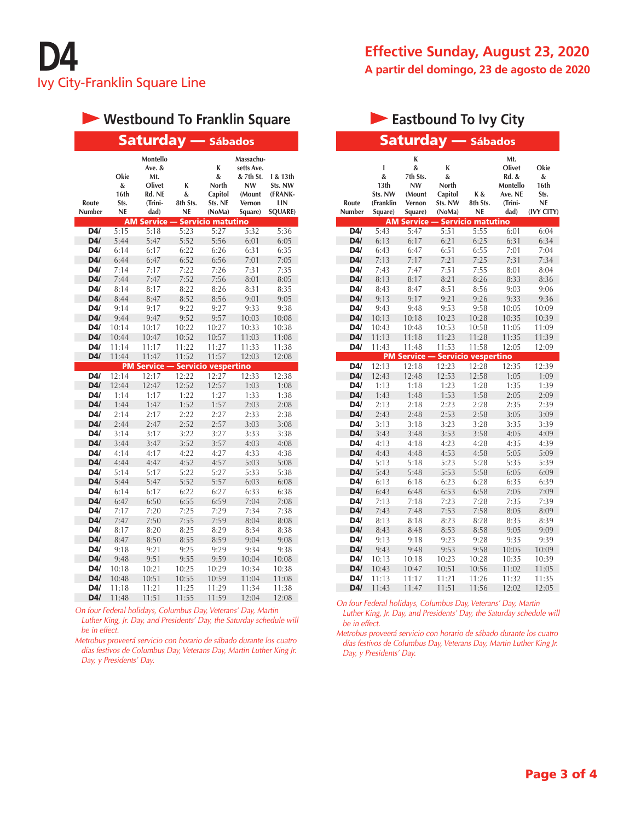## **Westbound To Franklin Square**

|                 |                                 | <b>Saturday</b>                                                  |                                 | <b>- Sábados</b>                                |                                                                                  |                                                         |
|-----------------|---------------------------------|------------------------------------------------------------------|---------------------------------|-------------------------------------------------|----------------------------------------------------------------------------------|---------------------------------------------------------|
| Route<br>Number | Okie<br>&<br>16th<br>Sts.<br>NE | Montello<br>Ave. &<br>Mt.<br>Olivet<br>Rd. NE<br>(Trini-<br>dad) | K<br>&<br>8th Sts.<br><b>NE</b> | K<br>&<br>North<br>Capitol<br>Sts. NE<br>(NoMa) | Massachu-<br>setts Ave.<br>& 7th St.<br><b>NW</b><br>(Mount<br>Vernon<br>Square) | I & 13th<br>Sts. NW<br>(FRANK-<br>LIN<br><b>SQUARE)</b> |
|                 |                                 | <b>AM Service</b>                                                |                                 | Servicio matutino                               |                                                                                  |                                                         |
| D4/             | 5:15                            | 5:18                                                             | 5:23                            | 5:27                                            | 5:32                                                                             | 5:36                                                    |
| D4/             | 5:44                            | 5:47                                                             | 5:52                            | 5:56                                            | 6:01                                                                             | 6:05                                                    |
| D4/             | 6:14                            | 6:17                                                             | 6:22                            | 6:26                                            | 6:31                                                                             | 6:35                                                    |
| D4/<br>D4/      | 6:44                            | 6:47                                                             | 6:52                            | 6:56                                            | 7:01                                                                             | 7:05                                                    |
|                 | 7:14                            | 7:17                                                             | 7:22                            | 7:26                                            | 7:31                                                                             | 7:35                                                    |
| D4/<br>D4/      | 7:44                            | 7:47                                                             | 7:52<br>8:22                    | 7:56<br>8:26                                    | 8:01                                                                             | 8:05                                                    |
| D4/             | 8:14<br>8:44                    | 8:17<br>8:47                                                     | 8:52                            | 8:56                                            | 8:31<br>9:01                                                                     | 8:35<br>9:05                                            |
| D4/             | 9:14                            | 9:17                                                             | 9:22                            | 9:27                                            | 9:33                                                                             | 9:38                                                    |
| D4/             | 9:44                            | 9:47                                                             | 9:52                            | 9:57                                            | 10:03                                                                            | 10:08                                                   |
| D4/             | 10:14                           | 10:17                                                            | 10:22                           | 10:27                                           | 10:33                                                                            | 10:38                                                   |
| D4/             | 10:44                           | 10:47                                                            | 10:52                           | 10:57                                           | 11:03                                                                            | 11:08                                                   |
| D4/             | 11:14                           | 11:17                                                            | 11:22                           | 11:27                                           | 11:33                                                                            | 11:38                                                   |
| D4/             | 11:44                           | 11:47                                                            | 11:52                           | 11:57                                           | 12:03                                                                            | 12:08                                                   |
|                 | <b>PM</b>                       | Service -                                                        |                                 | <b>Servicio vespertino</b>                      |                                                                                  |                                                         |
| D4/             | 12:14                           | 12:17                                                            | 12:22                           | 12:27                                           | 12:33                                                                            | 12:38                                                   |
| D4/             | 12:44                           | 12:47                                                            | 12:52                           | 12:57                                           | 1:03                                                                             | 1:08                                                    |
| D4/             | 1:14                            | 1:17                                                             | 1:22                            | 1:27                                            | 1:33                                                                             | 1:38                                                    |
| D4/             | 1:44                            | 1:47                                                             | 1:52                            | 1:57                                            | 2:03                                                                             | 2:08                                                    |
| D4/             | 2:14                            | 2:17                                                             | 2:22                            | 2:27                                            | 2:33                                                                             | 2:38                                                    |
| D4/             | 2:44                            | 2:47                                                             | 2:52                            | 2:57                                            | 3:03                                                                             | 3:08                                                    |
| D4/             | 3:14                            | 3:17                                                             | 3:22                            | 3:27                                            | 3:33                                                                             | 3:38                                                    |
| D4/             | 3:44                            | 3:47                                                             | 3:52                            | 3:57                                            | 4:03                                                                             | 4:08                                                    |
| D4/             | 4:14                            | 4:17                                                             | 4:22                            | 4:27                                            | 4:33                                                                             | 4:38                                                    |
| D4/             | 4:44                            | 4:47                                                             | 4:52                            | 4:57                                            | 5:03                                                                             | 5:08                                                    |
| D4/             | 5:14                            | 5:17                                                             | 5:22                            | 5:27                                            | 5:33                                                                             | 5:38                                                    |
| D4/             | 5:44                            | 5:47                                                             | 5:52                            | 5:57                                            | 6:03                                                                             | 6:08                                                    |
| D4/             | 6:14                            | 6:17                                                             | 6:22                            | 6:27                                            | 6:33                                                                             | 6:38                                                    |
| D4/             | 6:47                            | 6:50                                                             | 6:55                            | 6:59                                            | 7:04                                                                             | 7:08                                                    |
| D4/             | 7:17                            | 7:20                                                             | 7:25                            | 7:29                                            | 7:34                                                                             | 7:38                                                    |
| D4/             | 7:47                            | 7:50                                                             | 7:55                            | 7:59                                            | 8:04                                                                             | 8:08                                                    |
| D4/             | 8:17                            | 8:20                                                             | 8:25                            | 8:29                                            | 8:34                                                                             | 8:38                                                    |
| D4/             | 8:47                            | 8:50                                                             | 8:55                            | 8:59                                            | 9:04                                                                             | 9:08                                                    |
| D4/             | 9:18                            | 9:21                                                             | 9:25                            | 9:29                                            | 9:34                                                                             | 9:38                                                    |
| D4/             | 9:48                            | 9:51                                                             | 9:55                            | 9:59                                            | 10:04                                                                            | 10:08                                                   |
| D4/             | 10:18                           | 10:21                                                            | 10:25                           | 10:29                                           | 10:34                                                                            | 10:38                                                   |
| D4/             | 10:48                           | 10:51                                                            | 10:55                           | 10:59                                           | 11:04                                                                            | 11:08                                                   |
| D4/             | 11:18                           | 11:21                                                            | 11:25                           | 11:29                                           | 11:34                                                                            | 11:38                                                   |
| D4/             | 11:48                           | 11:51                                                            | 11:55                           | 11:59                                           | 12:04                                                                            | 12:08                                                   |

*On four Federal holidays, Columbus Day, Veterans' Day, Martin Luther King, Jr. Day, and Presidents' Day, the Saturday schedule will be in effect.*

*Metrobus proveerá servicio con horario de sábado durante los cuatro días festivos de Columbus Day, Veterans Day, Martin Luther King Jr. Day, y Presidents' Day.*

#### **Effective Sunday, August 23, 2020 A partir del domingo, 23 de agosto de 2020**

### **Eastbound To Ivy City**

|                        |                                                               | Saturday                                                       |                                                 | - Sábados                    |                                                                  |                                                      |
|------------------------|---------------------------------------------------------------|----------------------------------------------------------------|-------------------------------------------------|------------------------------|------------------------------------------------------------------|------------------------------------------------------|
| Route<br><b>Number</b> | ı<br>&<br>13 <sub>th</sub><br>Sts. NW<br>(Franklin<br>Square) | K<br>&<br>7th Sts.<br><b>NW</b><br>(Mount<br>Vernon<br>Square) | K<br>&<br>North<br>Capitol<br>Sts. NW<br>(NoMa) | K &<br>8th Sts.<br><b>NE</b> | Mt.<br>Olivet<br>Rd. &<br>Montello<br>Ave. NE<br>(Trini-<br>dad) | Okie<br>&<br>16th<br>Sts.<br><b>NE</b><br>(IVY CITY) |
|                        |                                                               | <b>AM Service</b>                                              |                                                 | <b>Servicio matutino</b>     |                                                                  |                                                      |
| D4/                    | 5:43                                                          | 5:47                                                           | 5:51                                            | 5:55                         | 6:01                                                             | 6:04                                                 |
| D4/                    | 6:13                                                          | 6:17                                                           | 6:21                                            | 6:25                         | 6:31                                                             | 6:34                                                 |
| D4/                    | 6:43                                                          | 6:47                                                           | 6:51                                            | 6:55                         | 7:01                                                             | 7:04                                                 |
| D4/                    | 7:13                                                          | 7:17                                                           | 7:21                                            | 7:25                         | 7:31                                                             | 7:34                                                 |
| D4/                    | 7:43                                                          | 7:47                                                           | 7:51                                            | 7:55                         | 8:01                                                             | 8:04                                                 |
| D4/                    | 8:13                                                          | 8:17                                                           | 8:21                                            | 8:26                         | 8:33                                                             | 8:36                                                 |
| D4/                    | 8:43                                                          | 8:47                                                           | 8:51                                            | 8:56                         | 9:03                                                             | 9:06                                                 |
| D4/                    | 9:13                                                          | 9:17                                                           | 9:21                                            | 9:26                         | 9:33                                                             | 9:36                                                 |
| D4/                    | 9:43                                                          | 9:48                                                           | 9:53                                            | 9:58                         | 10:05                                                            | 10:09                                                |
| D4/                    | 10:13                                                         | 10:18                                                          | 10:23                                           | 10:28                        | 10:35                                                            | 10:39                                                |
| D4/                    | 10:43                                                         | 10:48                                                          | 10:53                                           | 10:58                        | 11:05                                                            | 11:09                                                |
| D4/                    | 11:13                                                         | 11:18                                                          | 11:23                                           | 11:28                        | 11:35                                                            | 11:39                                                |
| D4/                    | 11:43                                                         | 11:48                                                          | 11:53                                           | 11:58                        | 12:05                                                            | 12:09                                                |
|                        |                                                               | <b>PM Service</b>                                              |                                                 | <b>Servicio vespertino</b>   |                                                                  |                                                      |
| D4/                    | 12:13                                                         | 12:18                                                          | 12:23                                           | 12:28                        | 12:35                                                            | 12:39                                                |
| D4/                    | 12:43                                                         | 12:48                                                          | 12:53                                           | 12:58                        | 1:05                                                             | 1:09                                                 |
| D4/                    | 1:13                                                          | 1:18                                                           | 1:23                                            | 1:28                         | 1:35                                                             | 1:39                                                 |
| D4/                    | 1:43                                                          | 1:48                                                           | 1:53                                            | 1:58                         | 2:05                                                             | 2:09                                                 |
| D4/                    | 2:13                                                          | 2:18                                                           | 2:23                                            | 2:28                         | 2:35                                                             | 2:39                                                 |
| D4/                    | 2:43                                                          | 2:48                                                           | 2:53                                            | 2:58                         | 3:05                                                             | 3:09                                                 |
| D4/                    | 3:13                                                          | 3:18                                                           | 3:23                                            | 3:28                         | 3:35                                                             | 3:39                                                 |
| D4/                    | 3:43                                                          | 3:48                                                           | 3:53                                            | 3:58                         | 4:05                                                             | 4:09                                                 |
| D4/                    | 4:13                                                          | 4:18                                                           | 4:23                                            | 4:28                         | 4:35                                                             | 4:39                                                 |
| D4/                    | 4:43                                                          | 4:48                                                           | 4:53                                            | 4:58                         | 5:05                                                             | 5:09                                                 |
| D4/                    | 5:13                                                          | 5:18                                                           | 5:23                                            | 5:28                         | 5:35                                                             | 5:39                                                 |
| D4/                    | 5:43                                                          | 5:48                                                           | 5:53                                            | 5:58                         | 6:05                                                             | 6:09                                                 |
| D4/                    | 6:13                                                          | 6:18                                                           | 6:23                                            | 6:28                         | 6:35                                                             | 6:39                                                 |
| D4/                    | 6:43                                                          | 6:48                                                           | 6:53                                            | 6:58                         | 7:05                                                             | 7:09                                                 |
| D4/                    | 7:13                                                          | 7:18                                                           | 7:23                                            | 7:28                         | 7:35                                                             | 7:39                                                 |
| D4/                    | 7:43                                                          | 7:48                                                           | 7:53                                            | 7:58                         | 8:05                                                             | 8:09                                                 |
| D4/                    | 8:13                                                          | 8:18                                                           | 8:23                                            | 8:28                         | 8:35                                                             | 8:39                                                 |
| D4/                    | 8:43                                                          | 8:48                                                           | 8:53                                            | 8:58                         | 9:05                                                             | 9:09                                                 |
| D4/                    | 9:13                                                          | 9:18                                                           | 9:23                                            | 9:28                         | 9:35                                                             | 9:39                                                 |
| D4/                    | 9:43                                                          | 9:48                                                           | 9:53                                            | 9:58                         | 10:05                                                            | 10:09                                                |
| D4/                    | 10:13                                                         | 10:18                                                          | 10:23                                           | 10:28                        | 10:35                                                            | 10:39                                                |
| D4/                    | 10:43                                                         | 10:47                                                          | 10:51                                           | 10:56                        | 11:02                                                            | 11:05                                                |
| D4/                    | 11:13                                                         | 11:17                                                          | 11:21                                           | 11:26                        | 11:32                                                            | 11:35                                                |
| D4/                    | 11:43                                                         | 11:47                                                          | 11:51                                           | 11:56                        | 12:02                                                            | 12:05                                                |

*On four Federal holidays, Columbus Day, Veterans' Day, Martin Luther King, Jr. Day, and Presidents' Day, the Saturday schedule will be in effect.*

*Metrobus proveerá servicio con horario de sábado durante los cuatro días festivos de Columbus Day, Veterans Day, Martin Luther King Jr. Day, y Presidents' Day.*